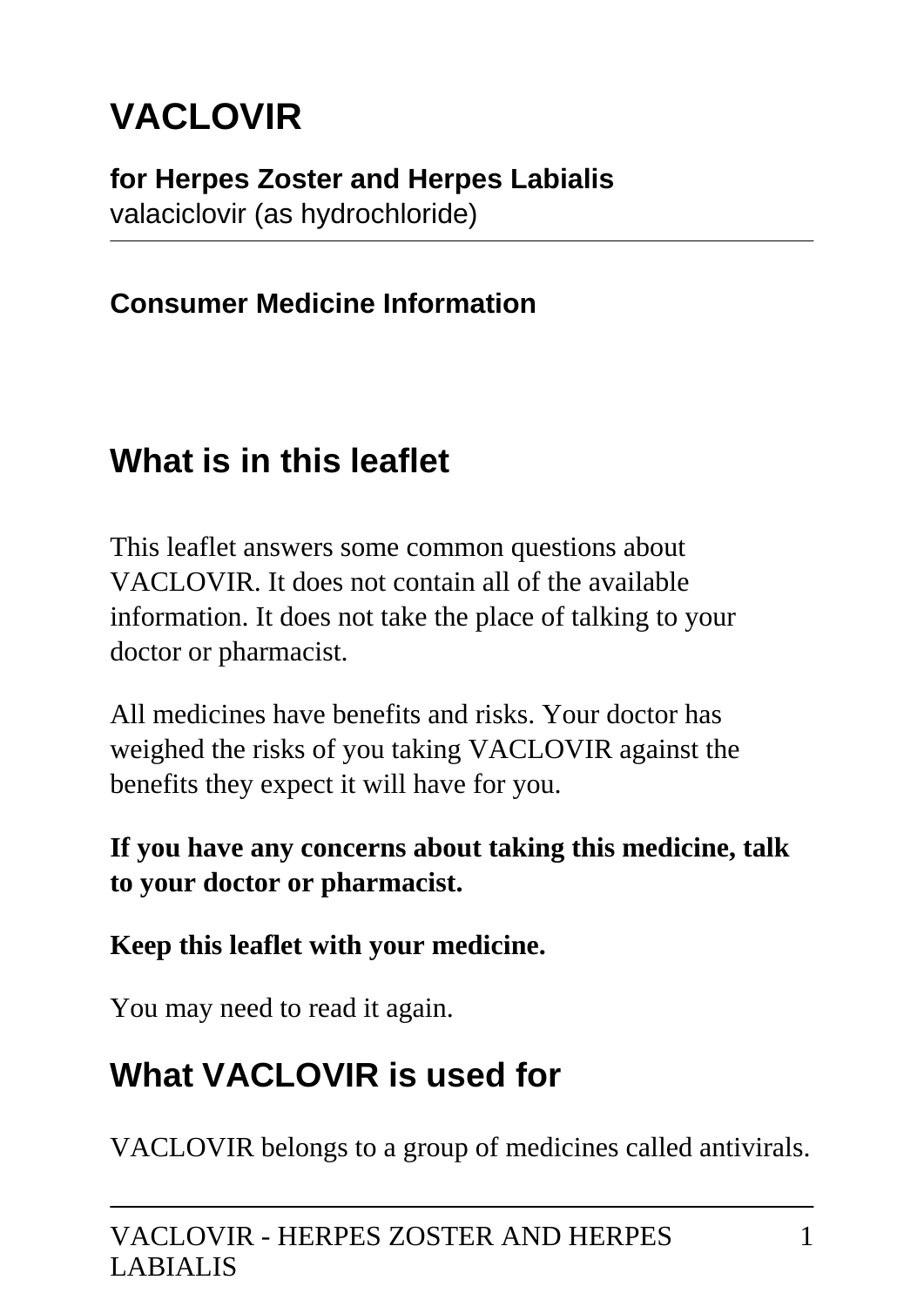# **VACLOVIR**

**for Herpes Zoster and Herpes Labialis** valaciclovir (as hydrochloride)

### **Consumer Medicine Information**

### **What is in this leaflet**

This leaflet answers some common questions about VACLOVIR. It does not contain all of the available information. It does not take the place of talking to your doctor or pharmacist.

All medicines have benefits and risks. Your doctor has weighed the risks of you taking VACLOVIR against the benefits they expect it will have for you.

#### **If you have any concerns about taking this medicine, talk to your doctor or pharmacist.**

#### **Keep this leaflet with your medicine.**

You may need to read it again.

## **What VACLOVIR is used for**

VACLOVIR belongs to a group of medicines called antivirals.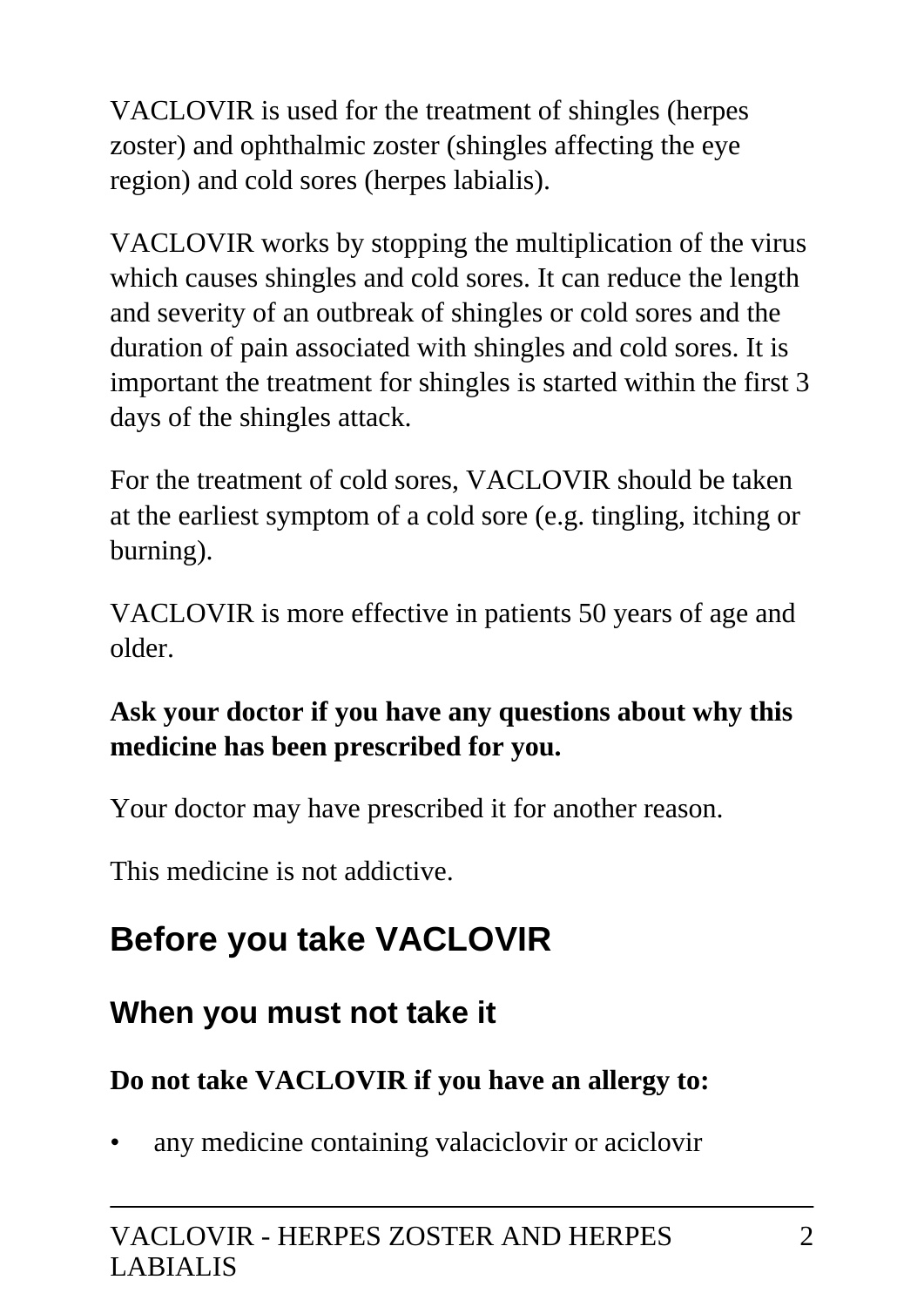VACLOVIR is used for the treatment of shingles (herpes zoster) and ophthalmic zoster (shingles affecting the eye region) and cold sores (herpes labialis).

VACLOVIR works by stopping the multiplication of the virus which causes shingles and cold sores. It can reduce the length and severity of an outbreak of shingles or cold sores and the duration of pain associated with shingles and cold sores. It is important the treatment for shingles is started within the first 3 days of the shingles attack.

For the treatment of cold sores, VACLOVIR should be taken at the earliest symptom of a cold sore (e.g. tingling, itching or burning).

VACLOVIR is more effective in patients 50 years of age and older.

#### **Ask your doctor if you have any questions about why this medicine has been prescribed for you.**

Your doctor may have prescribed it for another reason.

This medicine is not addictive.

# **Before you take VACLOVIR**

### **When you must not take it**

### **Do not take VACLOVIR if you have an allergy to:**

• any medicine containing valaciclovir or aciclovir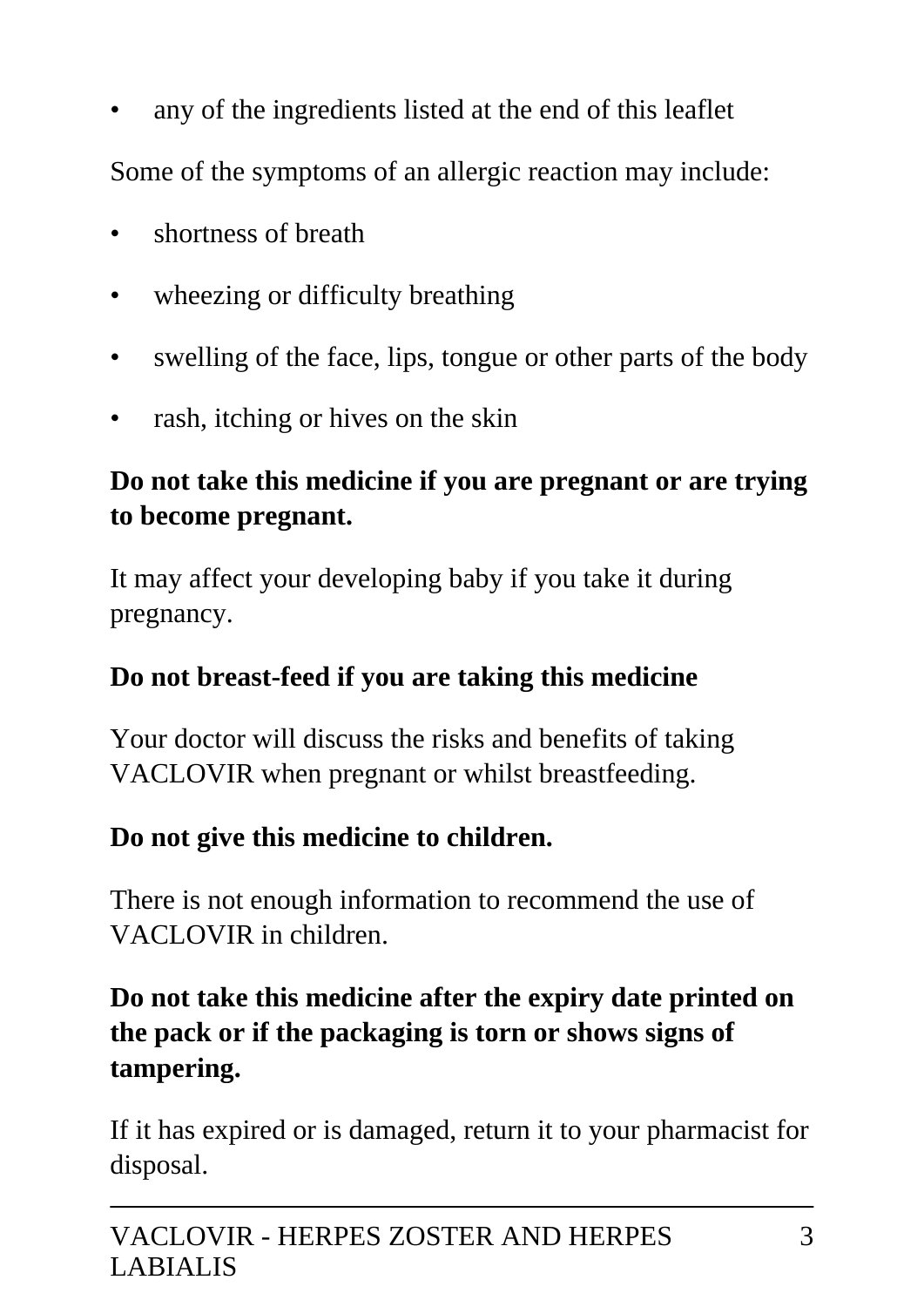any of the ingredients listed at the end of this leaflet

Some of the symptoms of an allergic reaction may include:

- shortness of breath
- wheezing or difficulty breathing
- swelling of the face, lips, tongue or other parts of the body
- rash, itching or hives on the skin

### **Do not take this medicine if you are pregnant or are trying to become pregnant.**

It may affect your developing baby if you take it during pregnancy.

#### **Do not breast-feed if you are taking this medicine**

Your doctor will discuss the risks and benefits of taking VACLOVIR when pregnant or whilst breastfeeding.

#### **Do not give this medicine to children.**

There is not enough information to recommend the use of VACLOVIR in children.

#### **Do not take this medicine after the expiry date printed on the pack or if the packaging is torn or shows signs of tampering.**

If it has expired or is damaged, return it to your pharmacist for disposal.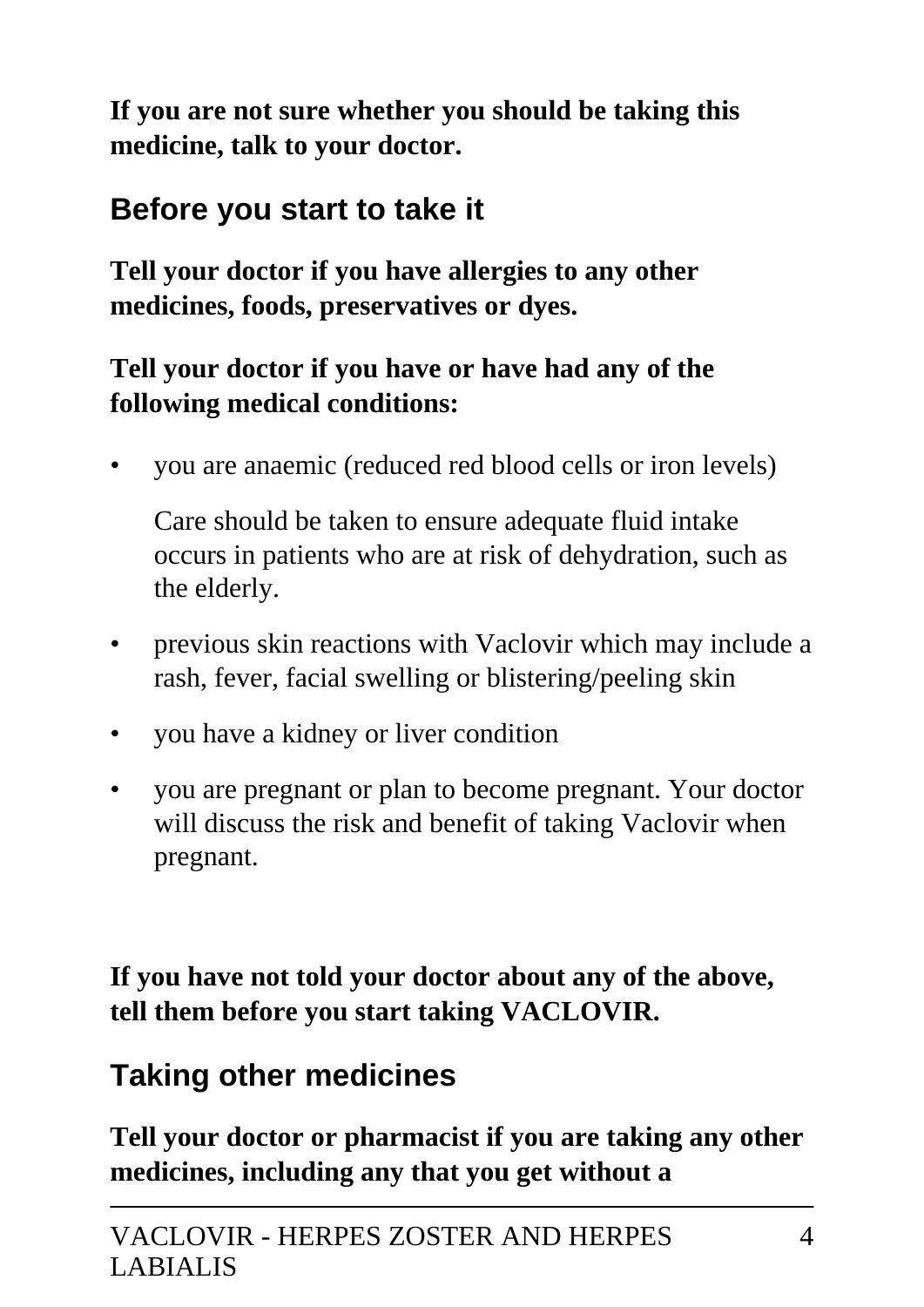**If you are not sure whether you should be taking this medicine, talk to your doctor.**

### **Before you start to take it**

**Tell your doctor if you have allergies to any other medicines, foods, preservatives or dyes.**

### **Tell your doctor if you have or have had any of the following medical conditions:**

• you are anaemic (reduced red blood cells or iron levels)

 Care should be taken to ensure adequate fluid intake occurs in patients who are at risk of dehydration, such as the elderly.

- previous skin reactions with Vaclovir which may include a rash, fever, facial swelling or blistering/peeling skin
- you have a kidney or liver condition
- you are pregnant or plan to become pregnant. Your doctor will discuss the risk and benefit of taking Vaclovir when pregnant.

**If you have not told your doctor about any of the above, tell them before you start taking VACLOVIR.**

### **Taking other medicines**

**Tell your doctor or pharmacist if you are taking any other medicines, including any that you get without a**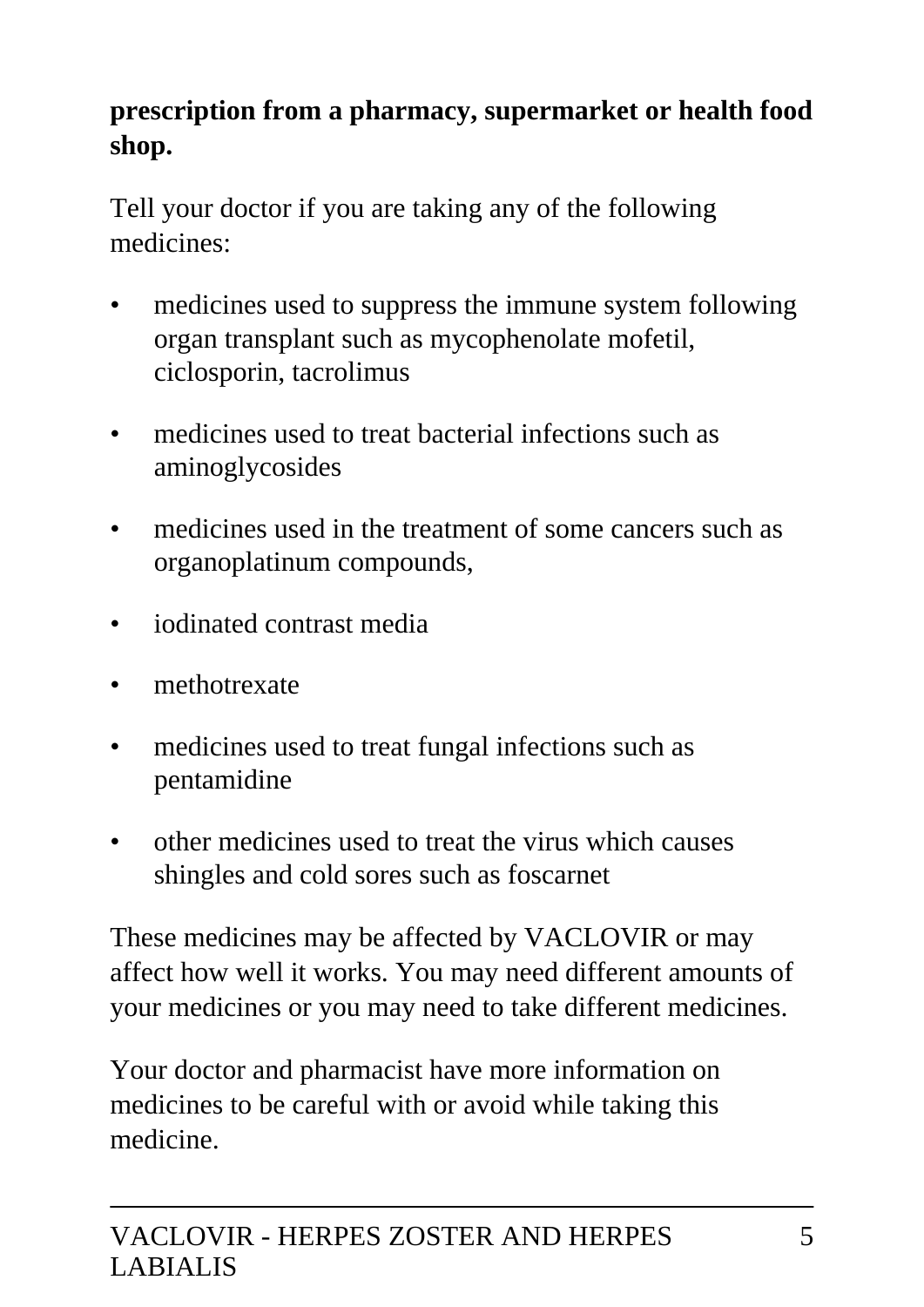### **prescription from a pharmacy, supermarket or health food shop.**

Tell your doctor if you are taking any of the following medicines:

- medicines used to suppress the immune system following organ transplant such as mycophenolate mofetil, ciclosporin, tacrolimus
- medicines used to treat bacterial infections such as aminoglycosides
- medicines used in the treatment of some cancers such as organoplatinum compounds,
- iodinated contrast media
- methotrexate
- medicines used to treat fungal infections such as pentamidine
- other medicines used to treat the virus which causes shingles and cold sores such as foscarnet

These medicines may be affected by VACLOVIR or may affect how well it works. You may need different amounts of your medicines or you may need to take different medicines.

Your doctor and pharmacist have more information on medicines to be careful with or avoid while taking this medicine.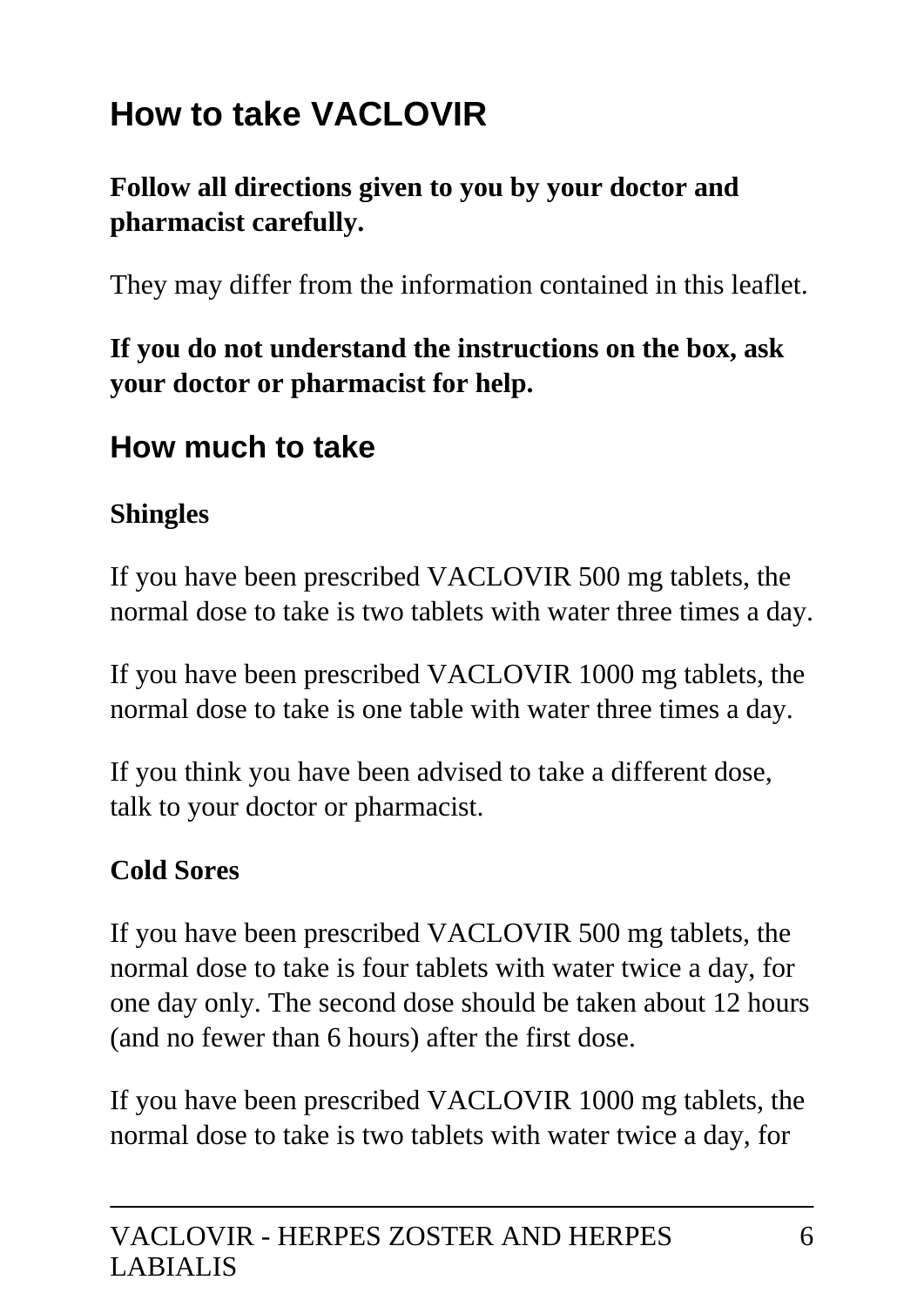# **How to take VACLOVIR**

#### **Follow all directions given to you by your doctor and pharmacist carefully.**

They may differ from the information contained in this leaflet.

**If you do not understand the instructions on the box, ask your doctor or pharmacist for help.**

### **How much to take**

#### **Shingles**

If you have been prescribed VACLOVIR 500 mg tablets, the normal dose to take is two tablets with water three times a day.

If you have been prescribed VACLOVIR 1000 mg tablets, the normal dose to take is one table with water three times a day.

If you think you have been advised to take a different dose, talk to your doctor or pharmacist.

#### **Cold Sores**

If you have been prescribed VACLOVIR 500 mg tablets, the normal dose to take is four tablets with water twice a day, for one day only. The second dose should be taken about 12 hours (and no fewer than 6 hours) after the first dose.

If you have been prescribed VACLOVIR 1000 mg tablets, the normal dose to take is two tablets with water twice a day, for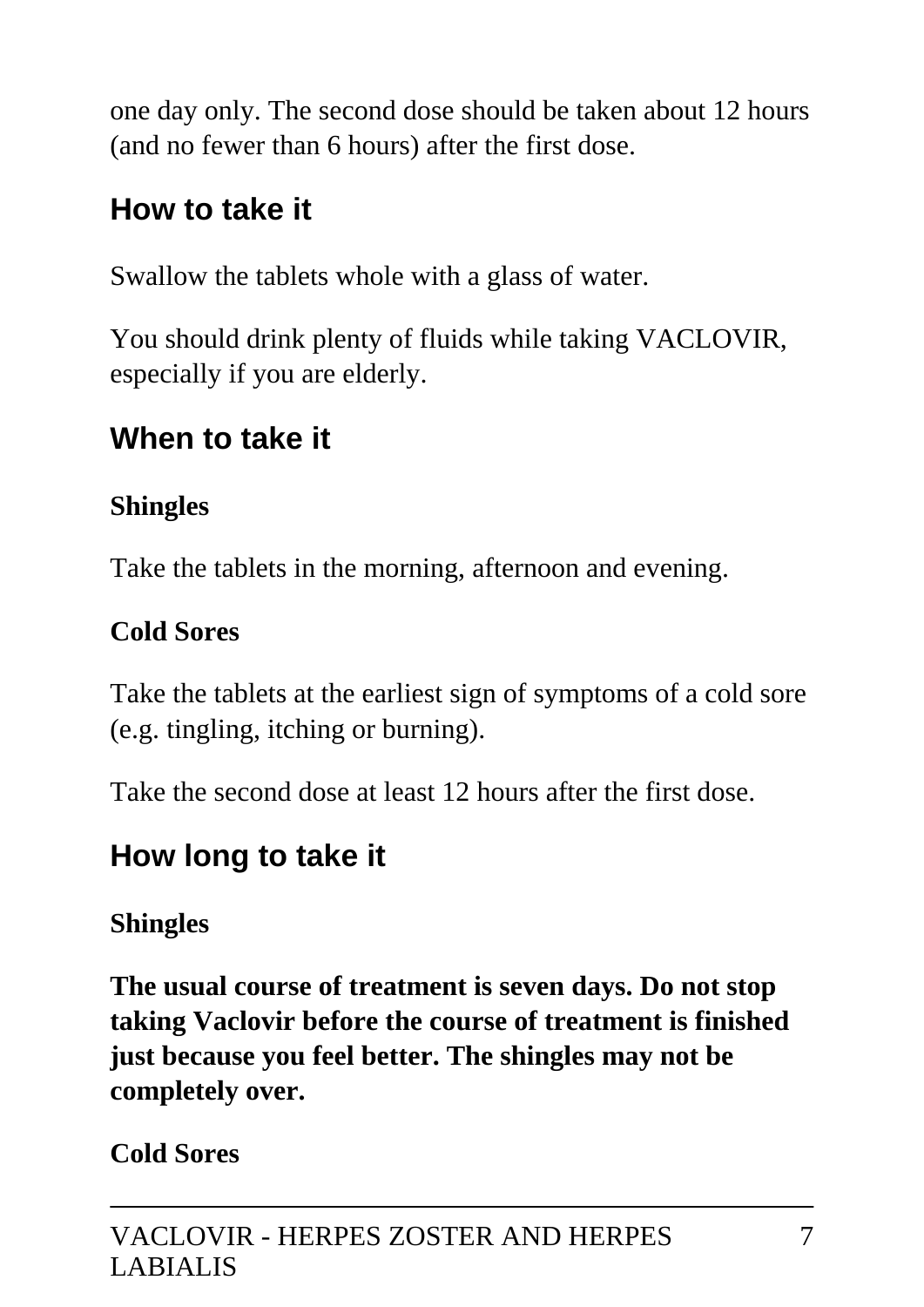one day only. The second dose should be taken about 12 hours (and no fewer than 6 hours) after the first dose.

### **How to take it**

Swallow the tablets whole with a glass of water.

You should drink plenty of fluids while taking VACLOVIR, especially if you are elderly.

### **When to take it**

### **Shingles**

Take the tablets in the morning, afternoon and evening.

### **Cold Sores**

Take the tablets at the earliest sign of symptoms of a cold sore (e.g. tingling, itching or burning).

Take the second dose at least 12 hours after the first dose.

## **How long to take it**

### **Shingles**

**The usual course of treatment is seven days. Do not stop taking Vaclovir before the course of treatment is finished just because you feel better. The shingles may not be completely over.**

**Cold Sores**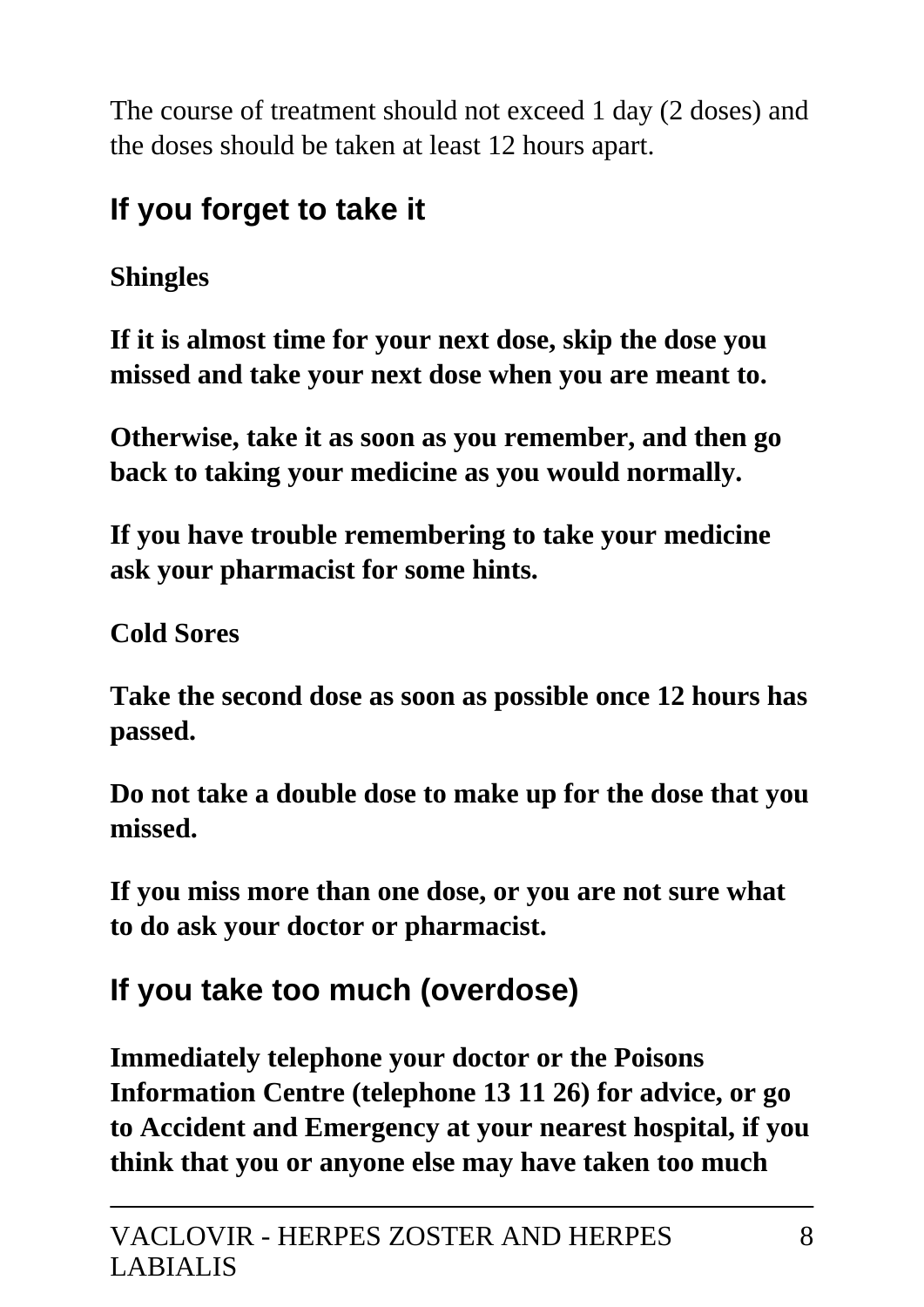The course of treatment should not exceed 1 day (2 doses) and the doses should be taken at least 12 hours apart.

## **If you forget to take it**

### **Shingles**

**If it is almost time for your next dose, skip the dose you missed and take your next dose when you are meant to.**

**Otherwise, take it as soon as you remember, and then go back to taking your medicine as you would normally.**

**If you have trouble remembering to take your medicine ask your pharmacist for some hints.**

**Cold Sores**

**Take the second dose as soon as possible once 12 hours has passed.**

**Do not take a double dose to make up for the dose that you missed.**

**If you miss more than one dose, or you are not sure what to do ask your doctor or pharmacist.**

## **If you take too much (overdose)**

**Immediately telephone your doctor or the Poisons Information Centre (telephone 13 11 26) for advice, or go to Accident and Emergency at your nearest hospital, if you think that you or anyone else may have taken too much**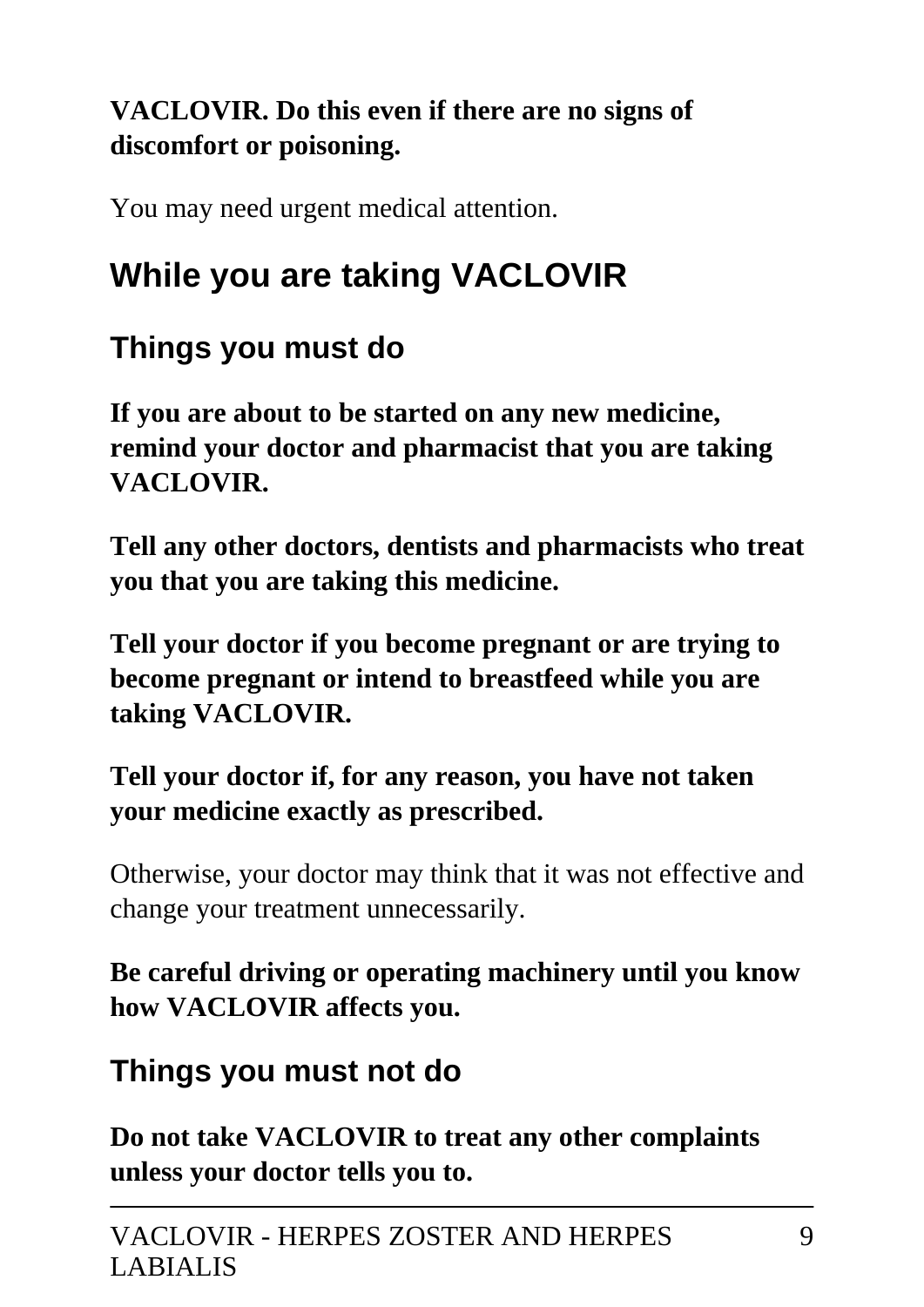### **VACLOVIR. Do this even if there are no signs of discomfort or poisoning.**

You may need urgent medical attention.

# **While you are taking VACLOVIR**

### **Things you must do**

**If you are about to be started on any new medicine, remind your doctor and pharmacist that you are taking VACLOVIR.**

**Tell any other doctors, dentists and pharmacists who treat you that you are taking this medicine.**

**Tell your doctor if you become pregnant or are trying to become pregnant or intend to breastfeed while you are taking VACLOVIR.**

### **Tell your doctor if, for any reason, you have not taken your medicine exactly as prescribed.**

Otherwise, your doctor may think that it was not effective and change your treatment unnecessarily.

**Be careful driving or operating machinery until you know how VACLOVIR affects you.**

### **Things you must not do**

**Do not take VACLOVIR to treat any other complaints unless your doctor tells you to.**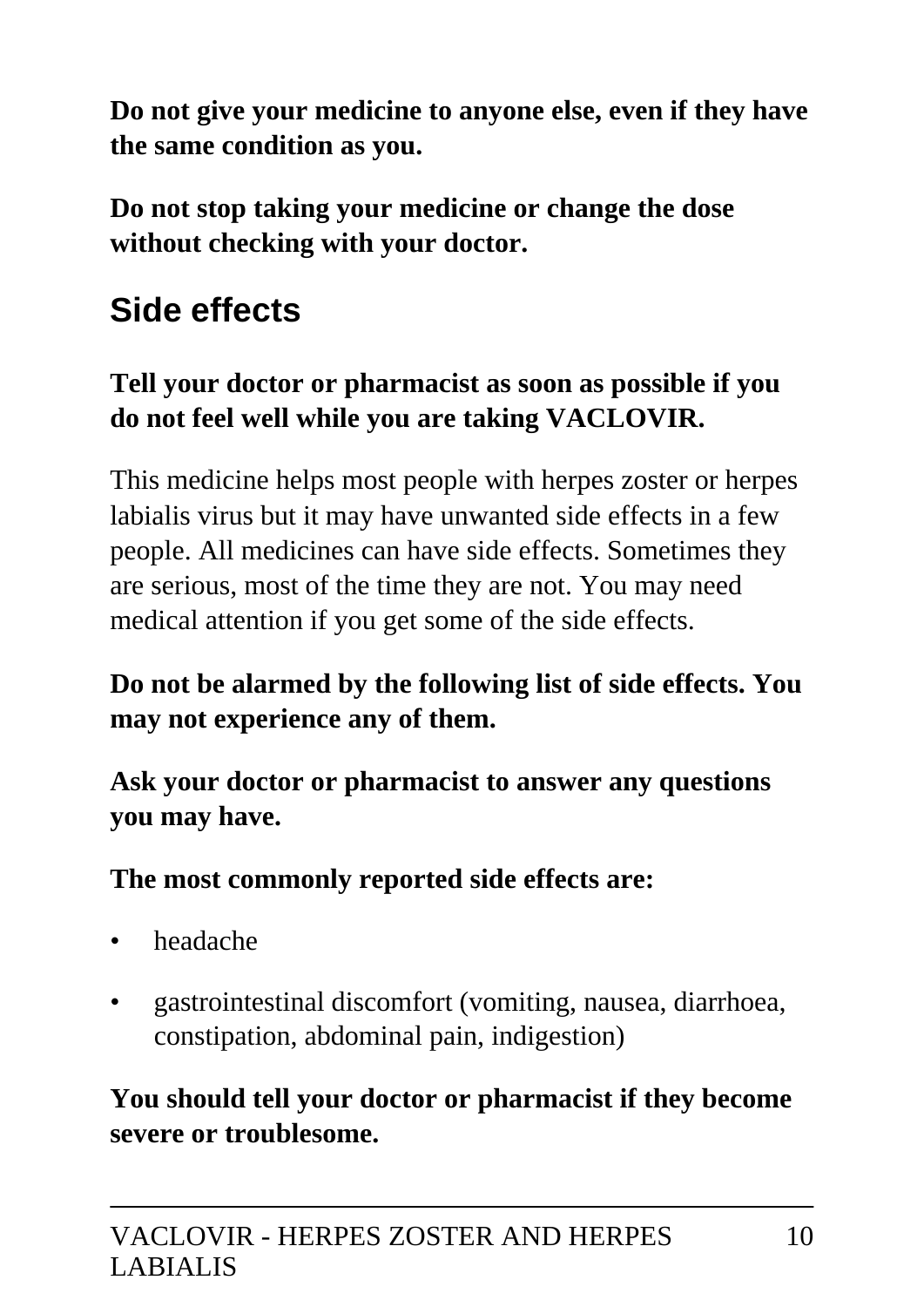**Do not give your medicine to anyone else, even if they have the same condition as you.**

**Do not stop taking your medicine or change the dose without checking with your doctor.**

# **Side effects**

### **Tell your doctor or pharmacist as soon as possible if you do not feel well while you are taking VACLOVIR.**

This medicine helps most people with herpes zoster or herpes labialis virus but it may have unwanted side effects in a few people. All medicines can have side effects. Sometimes they are serious, most of the time they are not. You may need medical attention if you get some of the side effects.

### **Do not be alarmed by the following list of side effects. You may not experience any of them.**

**Ask your doctor or pharmacist to answer any questions you may have.**

**The most commonly reported side effects are:**

- headache
- gastrointestinal discomfort (vomiting, nausea, diarrhoea, constipation, abdominal pain, indigestion)

### **You should tell your doctor or pharmacist if they become severe or troublesome.**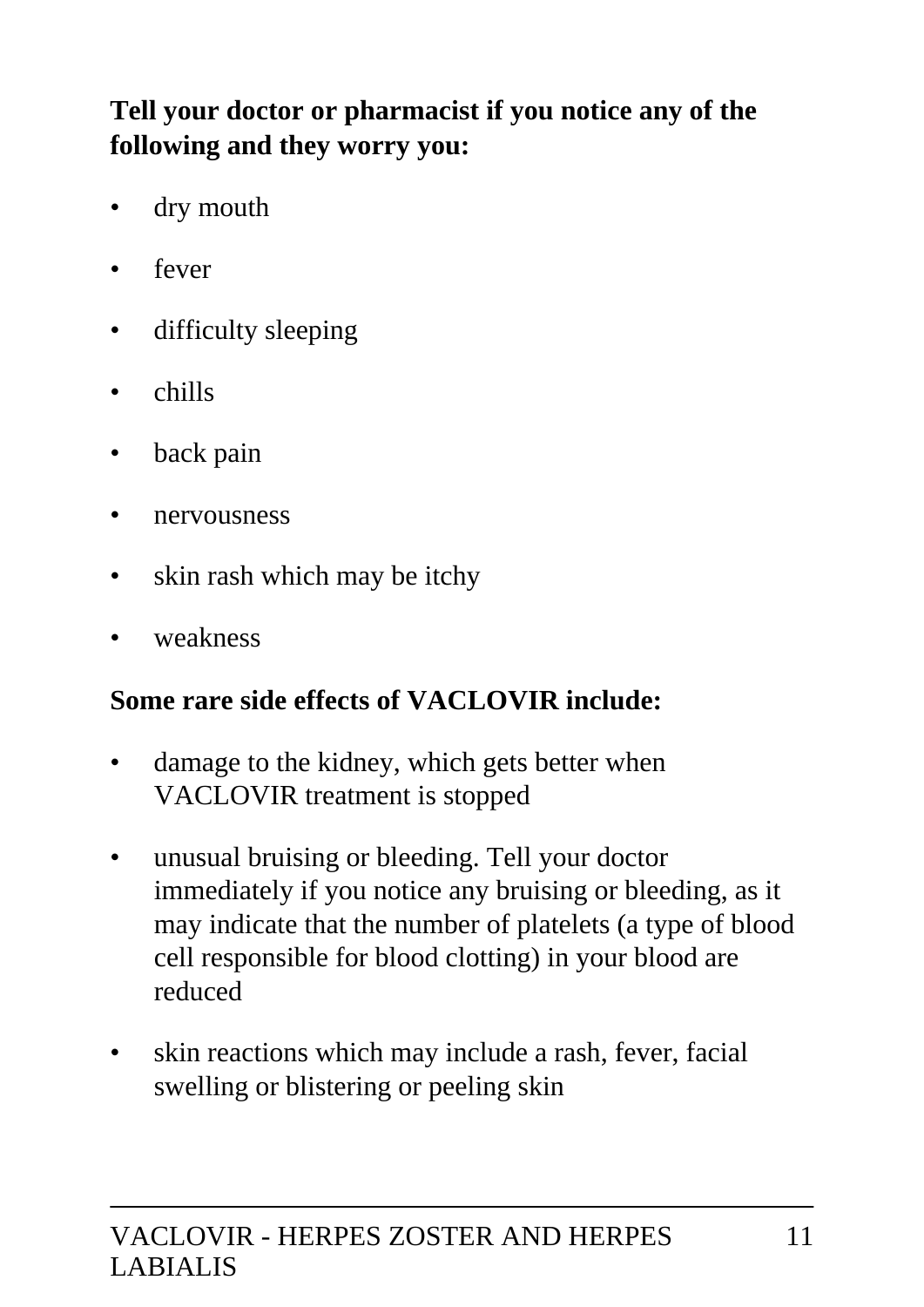### **Tell your doctor or pharmacist if you notice any of the following and they worry you:**

- dry mouth
- fever
- difficulty sleeping
- chills
- back pain
- nervousness
- skin rash which may be itchy
- weakness

#### **Some rare side effects of VACLOVIR include:**

- damage to the kidney, which gets better when VACLOVIR treatment is stopped
- unusual bruising or bleeding. Tell your doctor immediately if you notice any bruising or bleeding, as it may indicate that the number of platelets (a type of blood cell responsible for blood clotting) in your blood are reduced
- skin reactions which may include a rash, fever, facial swelling or blistering or peeling skin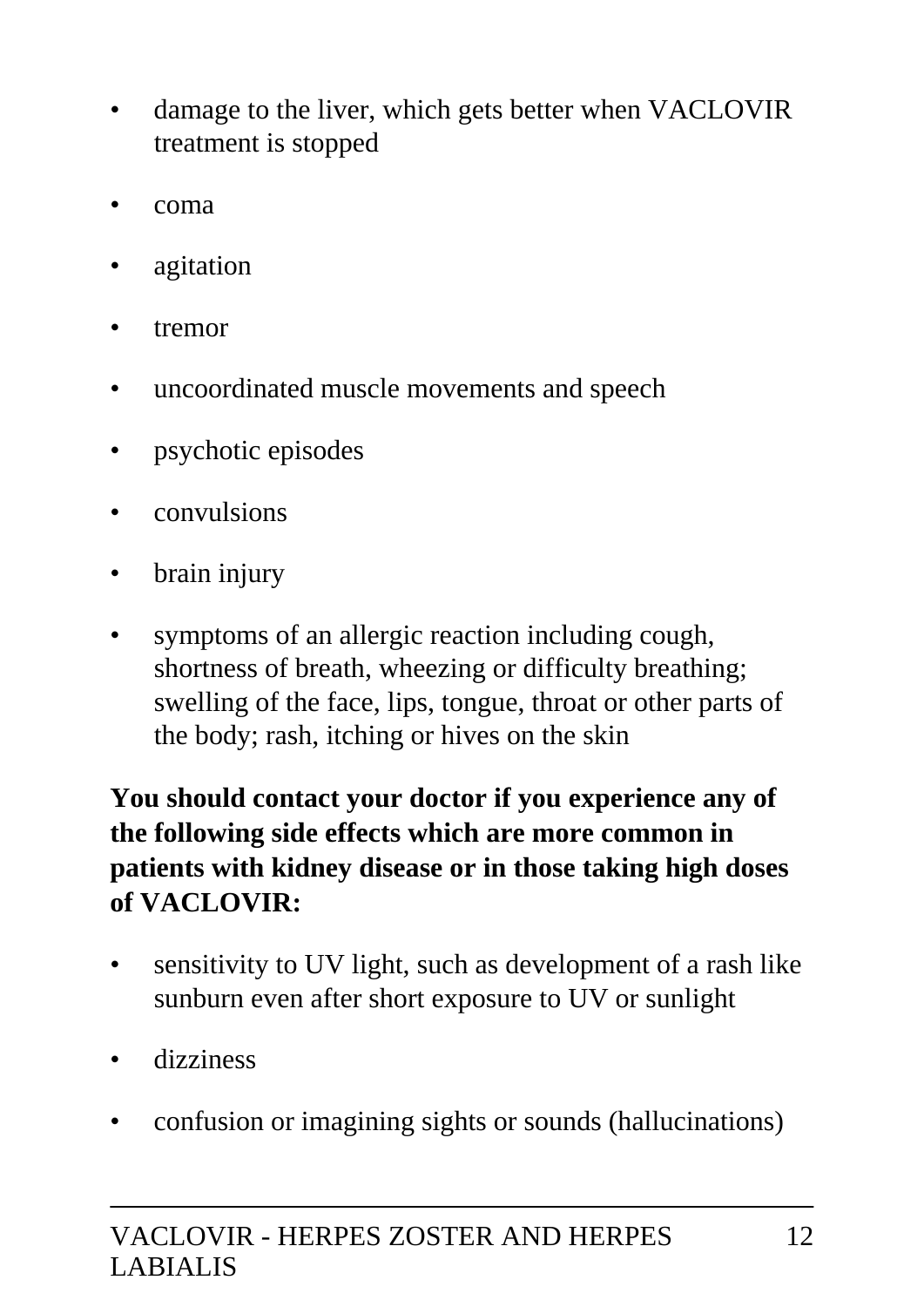- damage to the liver, which gets better when VACLOVIR treatment is stopped
- coma
- agitation
- tremor
- uncoordinated muscle movements and speech
- psychotic episodes
- convulsions
- brain injury
- symptoms of an allergic reaction including cough, shortness of breath, wheezing or difficulty breathing; swelling of the face, lips, tongue, throat or other parts of the body; rash, itching or hives on the skin

**You should contact your doctor if you experience any of the following side effects which are more common in patients with kidney disease or in those taking high doses of VACLOVIR:**

- sensitivity to UV light, such as development of a rash like sunburn even after short exposure to UV or sunlight
- dizziness
- confusion or imagining sights or sounds (hallucinations)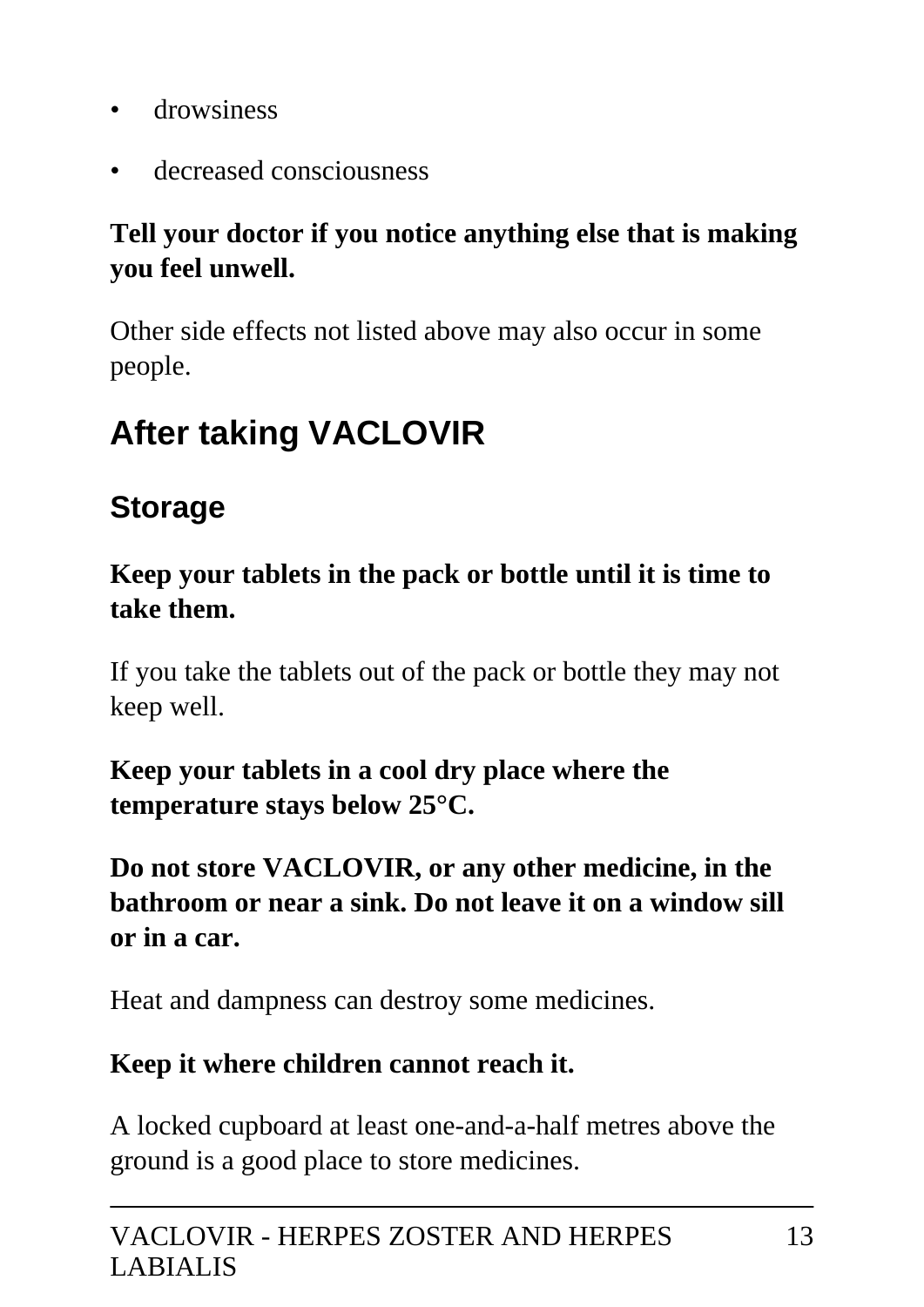- drowsiness
- decreased consciousness

### **Tell your doctor if you notice anything else that is making you feel unwell.**

Other side effects not listed above may also occur in some people.

# **After taking VACLOVIR**

### **Storage**

**Keep your tablets in the pack or bottle until it is time to take them.**

If you take the tablets out of the pack or bottle they may not keep well.

**Keep your tablets in a cool dry place where the temperature stays below 25°C.**

**Do not store VACLOVIR, or any other medicine, in the bathroom or near a sink. Do not leave it on a window sill or in a car.**

Heat and dampness can destroy some medicines.

#### **Keep it where children cannot reach it.**

A locked cupboard at least one-and-a-half metres above the ground is a good place to store medicines.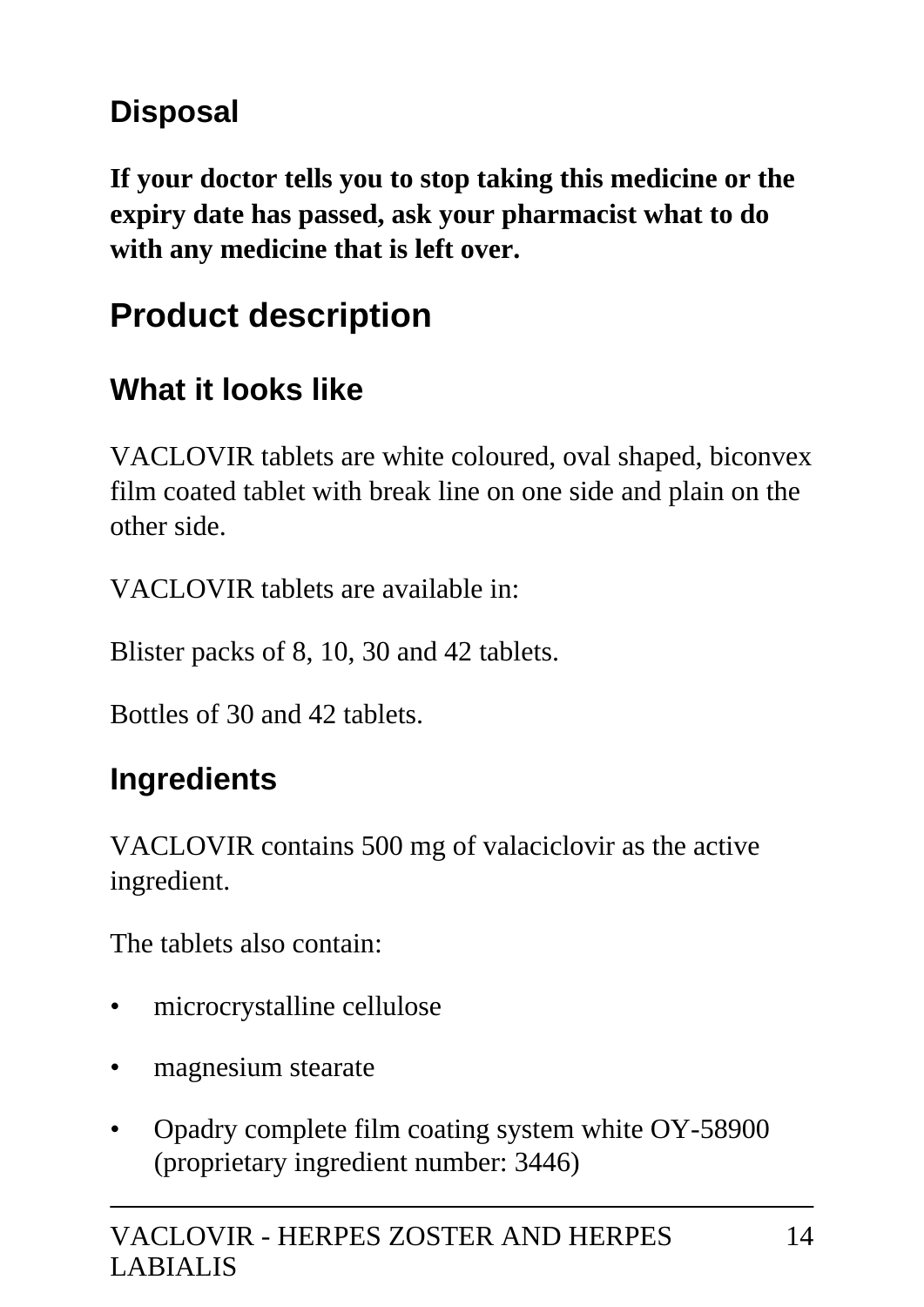## **Disposal**

**If your doctor tells you to stop taking this medicine or the expiry date has passed, ask your pharmacist what to do with any medicine that is left over.**

# **Product description**

### **What it looks like**

VACLOVIR tablets are white coloured, oval shaped, biconvex film coated tablet with break line on one side and plain on the other side.

VACLOVIR tablets are available in:

Blister packs of 8, 10, 30 and 42 tablets.

Bottles of 30 and 42 tablets.

## **Ingredients**

VACLOVIR contains 500 mg of valaciclovir as the active ingredient.

The tablets also contain:

- microcrystalline cellulose
- magnesium stearate
- Opadry complete film coating system white OY-58900 (proprietary ingredient number: 3446)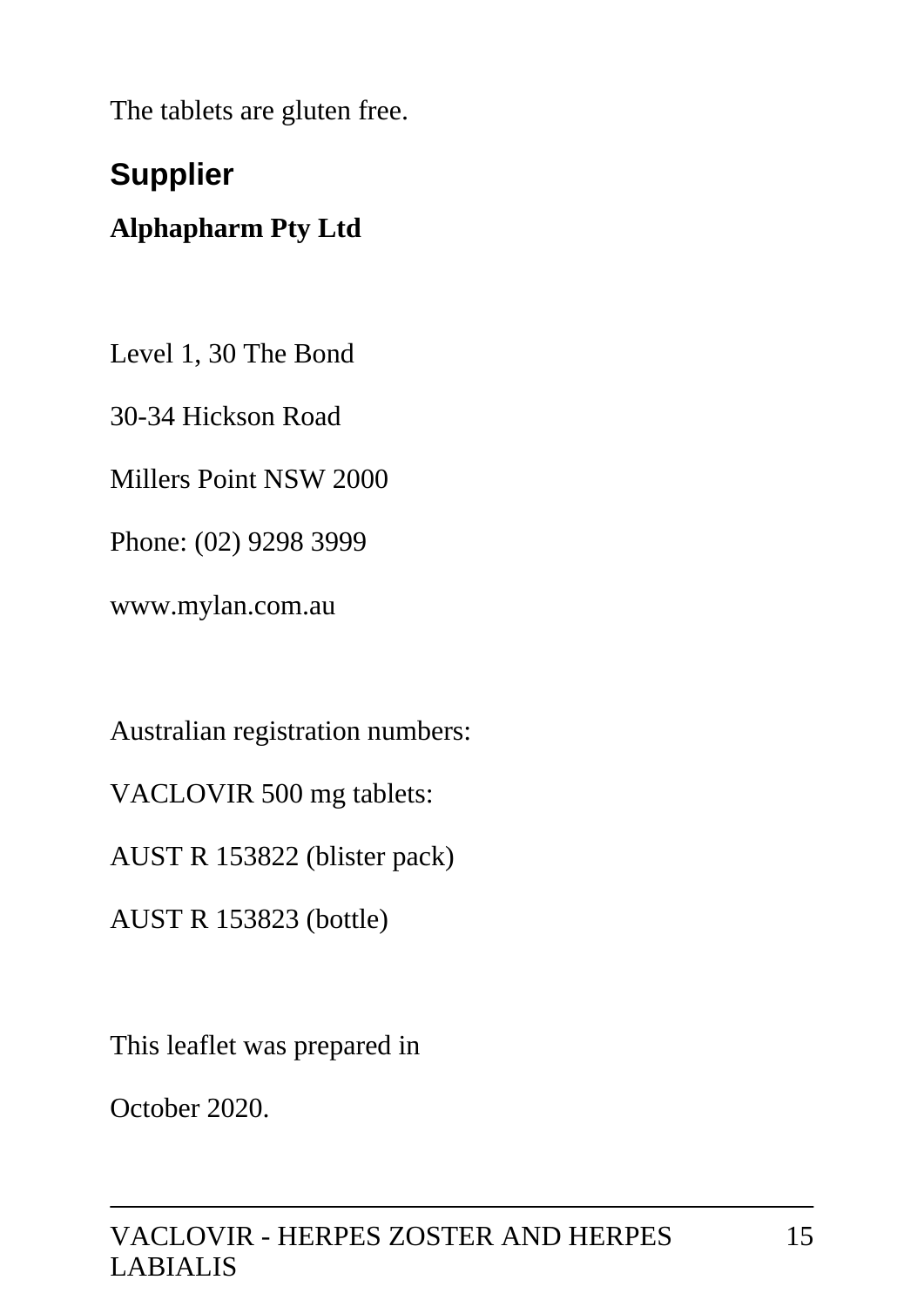The tablets are gluten free.

## **Supplier**

### **Alphapharm Pty Ltd**

Level 1, 30 The Bond

30-34 Hickson Road

Millers Point NSW 2000

Phone: (02) 9298 3999

www.mylan.com.au

Australian registration numbers:

VACLOVIR 500 mg tablets:

AUST R 153822 (blister pack)

AUST R 153823 (bottle)

This leaflet was prepared in

October 2020.